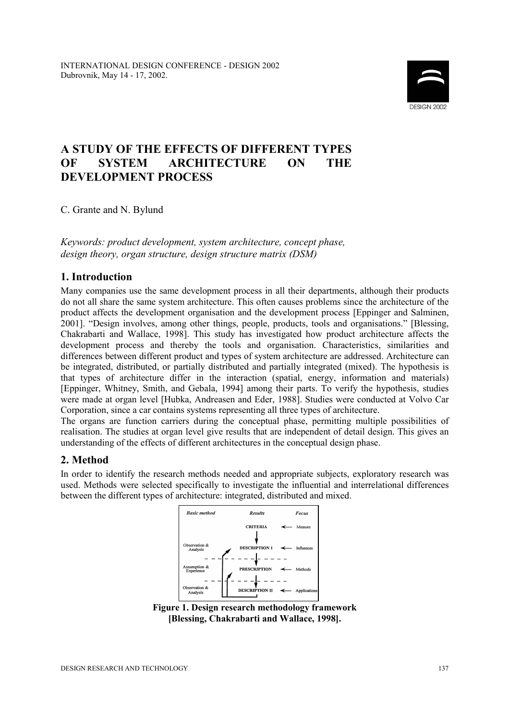

# **A STUDY OF THE EFFECTS OF DIFFERENT TYPES OF SYSTEM ARCHITECTURE ON THE DEVELOPMENT PROCESS**

C. Grante and N. Bylund

*Keywords: product development, system architecture, concept phase, design theory, organ structure, design structure matrix (DSM)* 

# **1. Introduction**

Many companies use the same development process in all their departments, although their products do not all share the same system architecture. This often causes problems since the architecture of the product affects the development organisation and the development process [Eppinger and Salminen, 2001]. "Design involves, among other things, people, products, tools and organisations." [Blessing, Chakrabarti and Wallace, 1998]. This study has investigated how product architecture affects the development process and thereby the tools and organisation. Characteristics, similarities and differences between different product and types of system architecture are addressed. Architecture can be integrated, distributed, or partially distributed and partially integrated (mixed). The hypothesis is that types of architecture differ in the interaction (spatial, energy, information and materials) [Eppinger, Whitney, Smith, and Gebala, 1994] among their parts. To verify the hypothesis, studies were made at organ level [Hubka, Andreasen and Eder, 1988]. Studies were conducted at Volvo Car Corporation, since a car contains systems representing all three types of architecture.

The organs are function carriers during the conceptual phase, permitting multiple possibilities of realisation. The studies at organ level give results that are independent of detail design. This gives an understanding of the effects of different architectures in the conceptual design phase.

# **2. Method**

In order to identify the research methods needed and appropriate subjects, exploratory research was used. Methods were selected specifically to investigate the influential and interrelational differences between the different types of architecture: integrated, distributed and mixed.



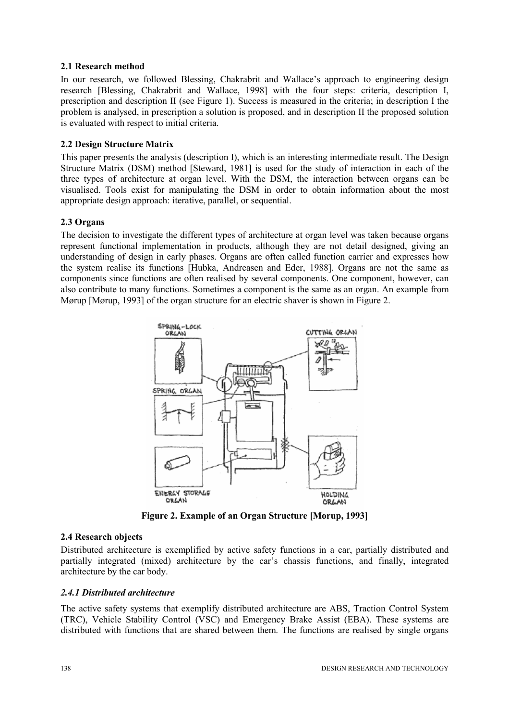#### **2.1 Research method**

In our research, we followed Blessing, Chakrabrit and Wallace's approach to engineering design research [Blessing, Chakrabrit and Wallace, 1998] with the four steps: criteria, description I, prescription and description II (see Figure 1). Success is measured in the criteria; in description I the problem is analysed, in prescription a solution is proposed, and in description II the proposed solution is evaluated with respect to initial criteria.

### **2.2 Design Structure Matrix**

This paper presents the analysis (description I), which is an interesting intermediate result. The Design Structure Matrix (DSM) method [Steward, 1981] is used for the study of interaction in each of the three types of architecture at organ level. With the DSM, the interaction between organs can be visualised. Tools exist for manipulating the DSM in order to obtain information about the most appropriate design approach: iterative, parallel, or sequential.

## **2.3 Organs**

The decision to investigate the different types of architecture at organ level was taken because organs represent functional implementation in products, although they are not detail designed, giving an understanding of design in early phases. Organs are often called function carrier and expresses how the system realise its functions [Hubka, Andreasen and Eder, 1988]. Organs are not the same as components since functions are often realised by several components. One component, however, can also contribute to many functions. Sometimes a component is the same as an organ. An example from Mørup [Mørup, 1993] of the organ structure for an electric shaver is shown in Figure 2.



**Figure 2. Example of an Organ Structure [Morup, 1993]** 

#### **2.4 Research objects**

Distributed architecture is exemplified by active safety functions in a car, partially distributed and partially integrated (mixed) architecture by the car's chassis functions, and finally, integrated architecture by the car body.

#### *2.4.1 Distributed architecture*

The active safety systems that exemplify distributed architecture are ABS, Traction Control System (TRC), Vehicle Stability Control (VSC) and Emergency Brake Assist (EBA). These systems are distributed with functions that are shared between them. The functions are realised by single organs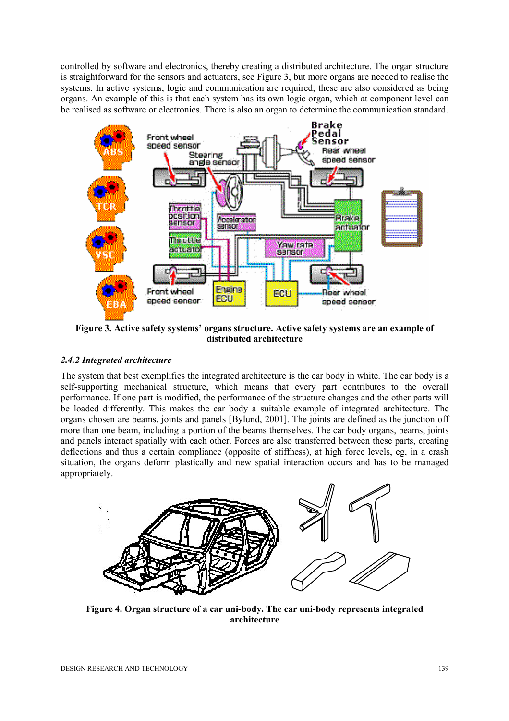controlled by software and electronics, thereby creating a distributed architecture. The organ structure is straightforward for the sensors and actuators, see Figure 3, but more organs are needed to realise the systems. In active systems, logic and communication are required; these are also considered as being organs. An example of this is that each system has its own logic organ, which at component level can be realised as software or electronics. There is also an organ to determine the communication standard.



**Figure 3. Active safety systems' organs structure. Active safety systems are an example of distributed architecture** 

# *2.4.2 Integrated architecture*

The system that best exemplifies the integrated architecture is the car body in white. The car body is a self-supporting mechanical structure, which means that every part contributes to the overall performance. If one part is modified, the performance of the structure changes and the other parts will be loaded differently. This makes the car body a suitable example of integrated architecture. The organs chosen are beams, joints and panels [Bylund, 2001]. The joints are defined as the junction off more than one beam, including a portion of the beams themselves. The car body organs, beams, joints and panels interact spatially with each other. Forces are also transferred between these parts, creating deflections and thus a certain compliance (opposite of stiffness), at high force levels, eg, in a crash situation, the organs deform plastically and new spatial interaction occurs and has to be managed appropriately.



**Figure 4. Organ structure of a car uni-body. The car uni-body represents integrated architecture**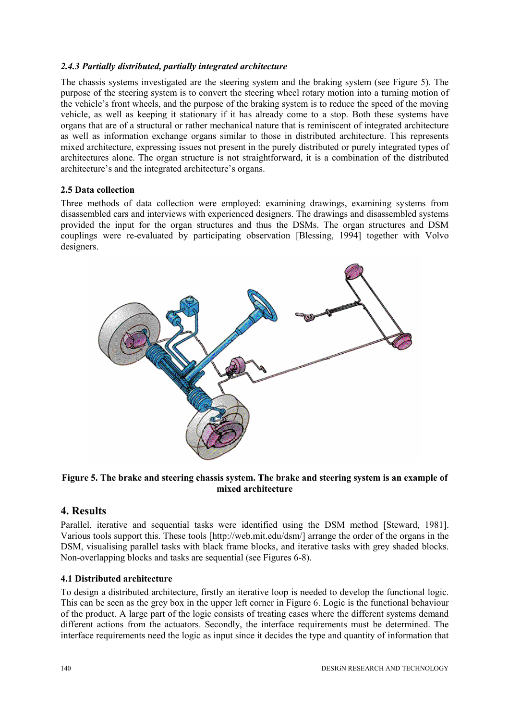#### *2.4.3 Partially distributed, partially integrated architecture*

The chassis systems investigated are the steering system and the braking system (see Figure 5). The purpose of the steering system is to convert the steering wheel rotary motion into a turning motion of the vehicle's front wheels, and the purpose of the braking system is to reduce the speed of the moving vehicle, as well as keeping it stationary if it has already come to a stop. Both these systems have organs that are of a structural or rather mechanical nature that is reminiscent of integrated architecture as well as information exchange organs similar to those in distributed architecture. This represents mixed architecture, expressing issues not present in the purely distributed or purely integrated types of architectures alone. The organ structure is not straightforward, it is a combination of the distributed architecture's and the integrated architecture's organs.

#### **2.5 Data collection**

Three methods of data collection were employed: examining drawings, examining systems from disassembled cars and interviews with experienced designers. The drawings and disassembled systems provided the input for the organ structures and thus the DSMs. The organ structures and DSM couplings were re-evaluated by participating observation [Blessing, 1994] together with Volvo designers.



#### **Figure 5. The brake and steering chassis system. The brake and steering system is an example of mixed architecture**

# **4. Results**

Parallel, iterative and sequential tasks were identified using the DSM method [Steward, 1981]. Various tools support this. These tools [http://web.mit.edu/dsm/] arrange the order of the organs in the DSM, visualising parallel tasks with black frame blocks, and iterative tasks with grey shaded blocks. Non-overlapping blocks and tasks are sequential (see Figures 6-8).

## **4.1 Distributed architecture**

To design a distributed architecture, firstly an iterative loop is needed to develop the functional logic. This can be seen as the grey box in the upper left corner in Figure 6. Logic is the functional behaviour of the product. A large part of the logic consists of treating cases where the different systems demand different actions from the actuators. Secondly, the interface requirements must be determined. The interface requirements need the logic as input since it decides the type and quantity of information that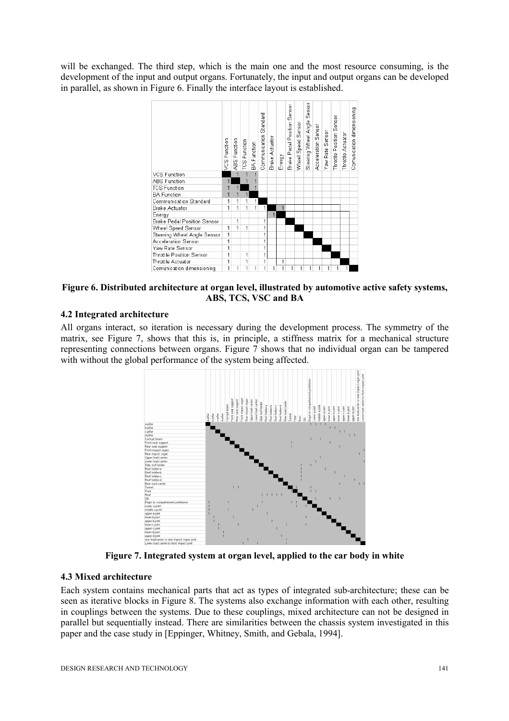will be exchanged. The third step, which is the main one and the most resource consuming, is the development of the input and output organs. Fortunately, the input and output organs can be developed in parallel, as shown in Figure 6. Finally the interface layout is established.



**Figure 6. Distributed architecture at organ level, illustrated by automotive active safety systems, ABS, TCS, VSC and BA** 

#### **4.2 Integrated architecture**

All organs interact, so iteration is necessary during the development process. The symmetry of the matrix, see Figure 7, shows that this is, in principle, a stiffness matrix for a mechanical structure representing connections between organs. Figure 7 shows that no individual organ can be tampered with without the global performance of the system being affected.



**Figure 7. Integrated system at organ level, applied to the car body in white** 

## **4.3 Mixed architecture**

Each system contains mechanical parts that act as types of integrated sub-architecture; these can be seen as iterative blocks in Figure 8. The systems also exchange information with each other, resulting in couplings between the systems. Due to these couplings, mixed architecture can not be designed in parallel but sequentially instead. There are similarities between the chassis system investigated in this paper and the case study in [Eppinger, Whitney, Smith, and Gebala, 1994].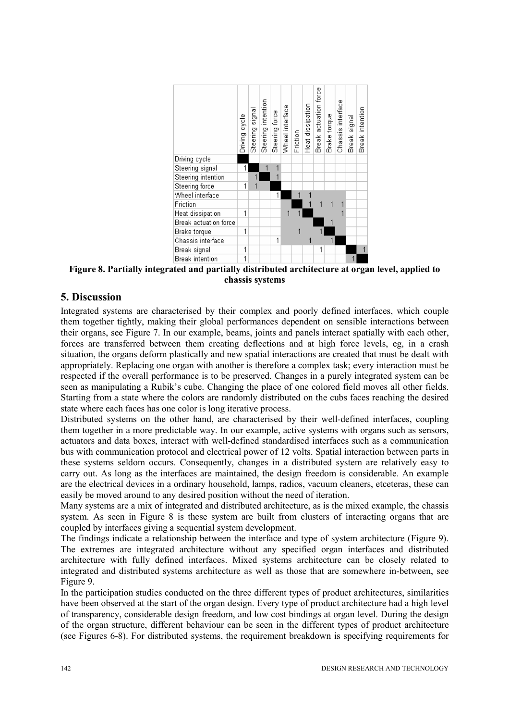

**Figure 8. Partially integrated and partially distributed architecture at organ level, applied to chassis systems** 

# **5. Discussion**

Integrated systems are characterised by their complex and poorly defined interfaces, which couple them together tightly, making their global performances dependent on sensible interactions between their organs, see Figure 7. In our example, beams, joints and panels interact spatially with each other, forces are transferred between them creating deflections and at high force levels, eg, in a crash situation, the organs deform plastically and new spatial interactions are created that must be dealt with appropriately. Replacing one organ with another is therefore a complex task; every interaction must be respected if the overall performance is to be preserved. Changes in a purely integrated system can be seen as manipulating a Rubik's cube. Changing the place of one colored field moves all other fields. Starting from a state where the colors are randomly distributed on the cubs faces reaching the desired state where each faces has one color is long iterative process.

Distributed systems on the other hand, are characterised by their well-defined interfaces, coupling them together in a more predictable way. In our example, active systems with organs such as sensors, actuators and data boxes, interact with well-defined standardised interfaces such as a communication bus with communication protocol and electrical power of 12 volts. Spatial interaction between parts in these systems seldom occurs. Consequently, changes in a distributed system are relatively easy to carry out. As long as the interfaces are maintained, the design freedom is considerable. An example are the electrical devices in a ordinary household, lamps, radios, vacuum cleaners, etceteras, these can easily be moved around to any desired position without the need of iteration.

Many systems are a mix of integrated and distributed architecture, as is the mixed example, the chassis system. As seen in Figure 8 is these system are built from clusters of interacting organs that are coupled by interfaces giving a sequential system development.

The findings indicate a relationship between the interface and type of system architecture (Figure 9). The extremes are integrated architecture without any specified organ interfaces and distributed architecture with fully defined interfaces. Mixed systems architecture can be closely related to integrated and distributed systems architecture as well as those that are somewhere in-between, see Figure 9.

In the participation studies conducted on the three different types of product architectures, similarities have been observed at the start of the organ design. Every type of product architecture had a high level of transparency, considerable design freedom, and low cost bindings at organ level. During the design of the organ structure, different behaviour can be seen in the different types of product architecture (see Figures 6-8). For distributed systems, the requirement breakdown is specifying requirements for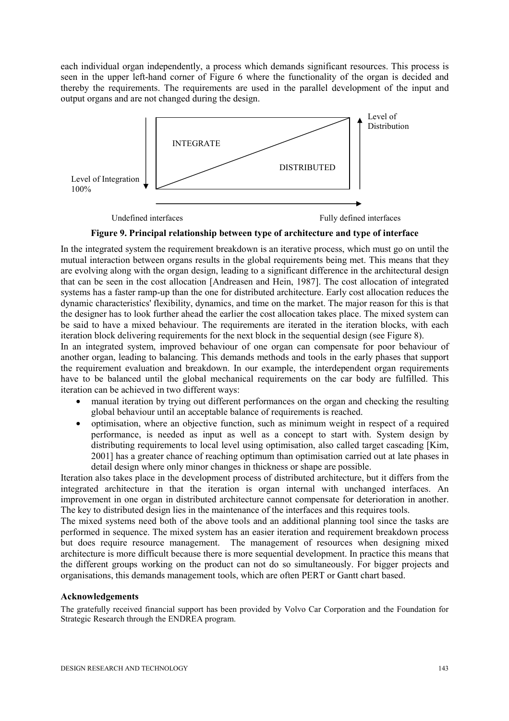each individual organ independently, a process which demands significant resources. This process is seen in the upper left-hand corner of Figure 6 where the functionality of the organ is decided and thereby the requirements. The requirements are used in the parallel development of the input and output organs and are not changed during the design.



Undefined interfaces Fully defined interfaces

#### **Figure 9. Principal relationship between type of architecture and type of interface**

In the integrated system the requirement breakdown is an iterative process, which must go on until the mutual interaction between organs results in the global requirements being met. This means that they are evolving along with the organ design, leading to a significant difference in the architectural design that can be seen in the cost allocation [Andreasen and Hein, 1987]. The cost allocation of integrated systems has a faster ramp-up than the one for distributed architecture. Early cost allocation reduces the dynamic characteristics' flexibility, dynamics, and time on the market. The major reason for this is that the designer has to look further ahead the earlier the cost allocation takes place. The mixed system can be said to have a mixed behaviour. The requirements are iterated in the iteration blocks, with each iteration block delivering requirements for the next block in the sequential design (see Figure 8).

In an integrated system, improved behaviour of one organ can compensate for poor behaviour of another organ, leading to balancing. This demands methods and tools in the early phases that support the requirement evaluation and breakdown. In our example, the interdependent organ requirements have to be balanced until the global mechanical requirements on the car body are fulfilled. This iteration can be achieved in two different ways:

- manual iteration by trying out different performances on the organ and checking the resulting global behaviour until an acceptable balance of requirements is reached.
- optimisation, where an objective function, such as minimum weight in respect of a required performance, is needed as input as well as a concept to start with. System design by distributing requirements to local level using optimisation, also called target cascading [Kim, 2001] has a greater chance of reaching optimum than optimisation carried out at late phases in detail design where only minor changes in thickness or shape are possible.

Iteration also takes place in the development process of distributed architecture, but it differs from the integrated architecture in that the iteration is organ internal with unchanged interfaces. An improvement in one organ in distributed architecture cannot compensate for deterioration in another. The key to distributed design lies in the maintenance of the interfaces and this requires tools.

The mixed systems need both of the above tools and an additional planning tool since the tasks are performed in sequence. The mixed system has an easier iteration and requirement breakdown process but does require resource management. The management of resources when designing mixed architecture is more difficult because there is more sequential development. In practice this means that the different groups working on the product can not do so simultaneously. For bigger projects and organisations, this demands management tools, which are often PERT or Gantt chart based.

#### **Acknowledgements**

The gratefully received financial support has been provided by Volvo Car Corporation and the Foundation for Strategic Research through the ENDREA program.